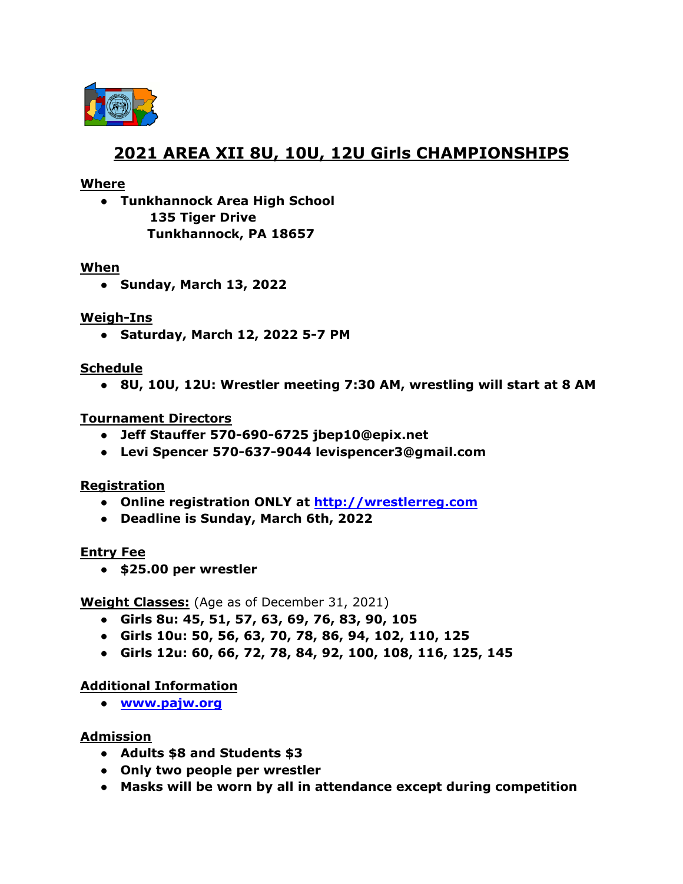

# **2021 AREA XII 8U, 10U, 12U Girls CHAMPIONSHIPS**

# **Where**

**● Tunkhannock Area High School 135 Tiger Drive Tunkhannock, PA 18657**

### **When**

**● Sunday, March 13, 2022**

# **Weigh-Ins**

**● Saturday, March 12, 2022 5-7 PM**

# **Schedule**

**● 8U, 10U, 12U: Wrestler meeting 7:30 AM, wrestling will start at 8 AM**

# **Tournament Directors**

- **● Jeff Stauffer 570-690-6725 jbep10@epix.net**
- **● Levi Spencer 570-637-9044 levispencer3@gmail.com**

# **Registration**

- **● Online registration ONLY at <http://wrestlerreg.com>**
- **● Deadline is Sunday, March 6th, 2022**

### **Entry Fee**

● **\$25.00 per wrestler**

### **Weight Classes:** (Age as of December 31, 2021)

- **Girls 8u: 45, 51, 57, 63, 69, 76, 83, 90, 105**
- **● Girls 10u: 50, 56, 63, 70, 78, 86, 94, 102, 110, 125**
- **● Girls 12u: 60, 66, 72, 78, 84, 92, 100, 108, 116, 125, 145**

# **Additional Information**

**● [www.pajw.org](http://www.pajw.org)**

# **Admission**

- **Adults \$8 and Students \$3**
- **● Only two people per wrestler**
- **● Masks will be worn by all in attendance except during competition**